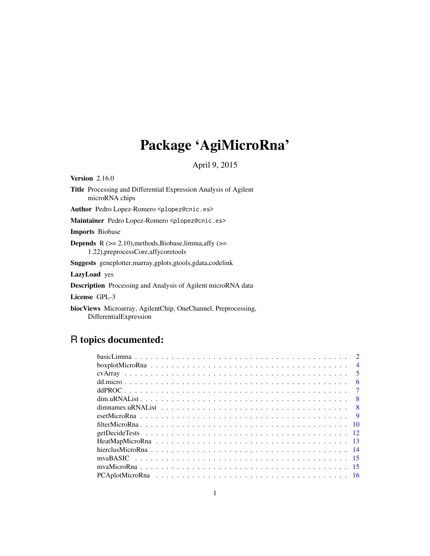# Package 'AgiMicroRna'

April 9, 2015

Version 2.16.0

Title Processing and Differential Expression Analysis of Agilent microRNA chips

Author Pedro Lopez-Romero <plopez@cnic.es>

Maintainer Pedro Lopez-Romero <plopez@cnic.es>

Imports Biobase

**Depends** R  $(>= 2.10)$ , methods, Biobase, limma, affy  $(>=$ 1.22),preprocessCore,affycoretools

Suggests geneplotter,marray,gplots,gtools,gdata,codelink

LazyLoad yes

Description Processing and Analysis of Agilent microRNA data

License GPL-3

biocViews Microarray, AgilentChip, OneChannel, Preprocessing, DifferentialExpression

# R topics documented:

|  |  |  |  |  |  |  |  |  |  |  |  |  |  |  |  | $\mathcal{D}$  |
|--|--|--|--|--|--|--|--|--|--|--|--|--|--|--|--|----------------|
|  |  |  |  |  |  |  |  |  |  |  |  |  |  |  |  | $\overline{4}$ |
|  |  |  |  |  |  |  |  |  |  |  |  |  |  |  |  | -5             |
|  |  |  |  |  |  |  |  |  |  |  |  |  |  |  |  | 6              |
|  |  |  |  |  |  |  |  |  |  |  |  |  |  |  |  |                |
|  |  |  |  |  |  |  |  |  |  |  |  |  |  |  |  |                |
|  |  |  |  |  |  |  |  |  |  |  |  |  |  |  |  | - 8            |
|  |  |  |  |  |  |  |  |  |  |  |  |  |  |  |  | $\mathbf Q$    |
|  |  |  |  |  |  |  |  |  |  |  |  |  |  |  |  |                |
|  |  |  |  |  |  |  |  |  |  |  |  |  |  |  |  |                |
|  |  |  |  |  |  |  |  |  |  |  |  |  |  |  |  |                |
|  |  |  |  |  |  |  |  |  |  |  |  |  |  |  |  |                |
|  |  |  |  |  |  |  |  |  |  |  |  |  |  |  |  |                |
|  |  |  |  |  |  |  |  |  |  |  |  |  |  |  |  |                |
|  |  |  |  |  |  |  |  |  |  |  |  |  |  |  |  |                |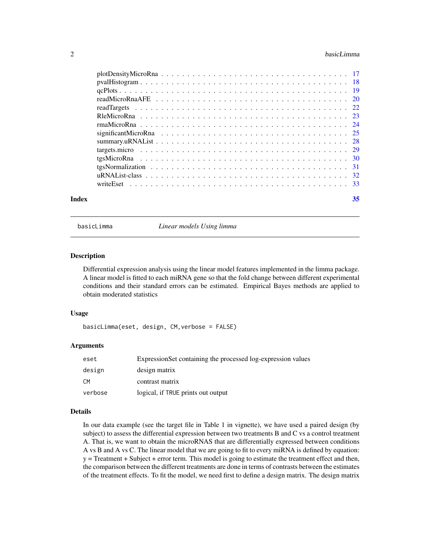#### <span id="page-1-0"></span>2 basicLimma and the set of the set of the set of the set of the set of the set of the set of the set of the set of the set of the set of the set of the set of the set of the set of the set of the set of the set of the set

| Index | 35 |
|-------|----|
|       |    |
|       |    |
|       |    |
|       |    |
|       |    |
|       |    |
|       |    |
|       |    |
|       |    |
|       |    |
|       |    |
|       |    |
|       |    |
|       |    |

basicLimma *Linear models Using limma*

#### Description

Differential expression analysis using the linear model features implemented in the limma package. A linear model is fitted to each miRNA gene so that the fold change between different experimental conditions and their standard errors can be estimated. Empirical Bayes methods are applied to obtain moderated statistics

# Usage

basicLimma(eset, design, CM,verbose = FALSE)

#### Arguments

| eset    | ExpressionSet containing the processed log-expression values |
|---------|--------------------------------------------------------------|
| design  | design matrix                                                |
| CM.     | contrast matrix                                              |
| verbose | logical, if TRUE prints out output                           |

#### Details

In our data example (see the target file in Table 1 in vignette), we have used a paired design (by subject) to assess the differential expression between two treatments B and C vs a control treatment A. That is, we want to obtain the microRNAS that are differentially expressed between conditions A vs B and A vs C. The linear model that we are going to fit to every miRNA is defined by equation: y = Treatment + Subject + error term. This model is going to estimate the treatment effect and then, the comparison between the different treatments are done in terms of contrasts between the estimates of the treatment effects. To fit the model, we need first to define a design matrix. The design matrix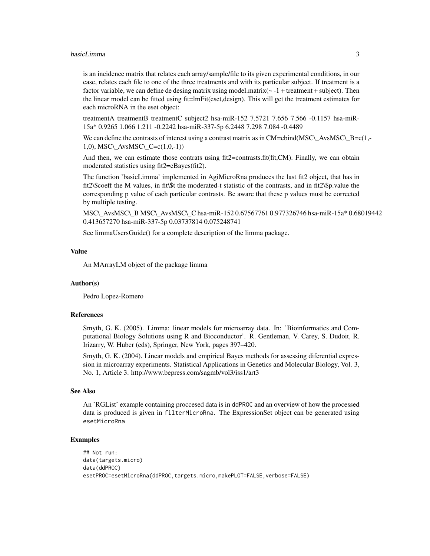#### basicLimma 3

is an incidence matrix that relates each array/sample/file to its given experimental conditions, in our case, relates each file to one of the three treatments and with its particular subject. If treatment is a factor variable, we can define de desing matrix using model.matrix( $\sim -1$  + treatment + subject). Then the linear model can be fitted using fit=lmFit(eset,design). This will get the treatment estimates for each microRNA in the eset object:

treatmentA treatmentB treatmentC subject2 hsa-miR-152 7.5721 7.656 7.566 -0.1157 hsa-miR-15a\* 0.9265 1.066 1.211 -0.2242 hsa-miR-337-5p 6.2448 7.298 7.084 -0.4489

We can define the contrasts of interest using a contrast matrix as in  $CM=cbind(MSC)\Delta vsMSC\Delta B=c(1,-c)\Delta vsMSC\Delta B=c(1,-c)\Delta vsMSC\Delta B=c(1,-c)\Delta vsMSC\Delta B=c(1,-c)\Delta vsMSC\Delta B=c(1,-c)\Delta vsMSC\Delta B=c(1,-c)\Delta vsMSC\Delta B=c(1,-c)\Delta vsMSC\Delta B=c(1,-c)\Delta vsMSC\Delta B=c(1,-c)\Delta vsMSC\Delta B=c(1,-c)\Delta vsMSC\Delta B=c(1,-c)\$ 1,0), MSC\\_AvsMSC\\_C=c $(1,0,-1)$ )

And then, we can estimate those contrats using fit2=contrasts.fit(fit,CM). Finally, we can obtain moderated statistics using fit2=eBayes(fit2).

The function 'basicLimma' implemented in AgiMicroRna produces the last fit2 object, that has in fit2\\$coeff the M values, in fit\\$t the moderated-t statistic of the contrasts, and in fit2\\$p.value the corresponding p value of each particular contrasts. Be aware that these p values must be corrected by multiple testing.

MSC\\_AvsMSC\\_B MSC\\_AvsMSC\\_C hsa-miR-152 0.67567761 0.977326746 hsa-miR-15a\* 0.68019442 0.413657270 hsa-miR-337-5p 0.03737814 0.075248741

See limmaUsersGuide() for a complete description of the limma package.

#### Value

An MArrayLM object of the package limma

#### Author(s)

Pedro Lopez-Romero

#### References

Smyth, G. K. (2005). Limma: linear models for microarray data. In: 'Bioinformatics and Computational Biology Solutions using R and Bioconductor'. R. Gentleman, V. Carey, S. Dudoit, R. Irizarry, W. Huber (eds), Springer, New York, pages 397–420.

Smyth, G. K. (2004). Linear models and empirical Bayes methods for assessing diferential expression in microarray experiments. Statistical Applications in Genetics and Molecular Biology, Vol. 3, No. 1, Article 3. http://www.bepress.com/sagmb/vol3/iss1/art3

#### See Also

An 'RGList' example containing proccesed data is in ddPROC and an overview of how the processed data is produced is given in filterMicroRna. The ExpressionSet object can be generated using esetMicroRna

# Examples

```
## Not run:
data(targets.micro)
data(ddPROC)
esetPROC=esetMicroRna(ddPROC,targets.micro,makePLOT=FALSE,verbose=FALSE)
```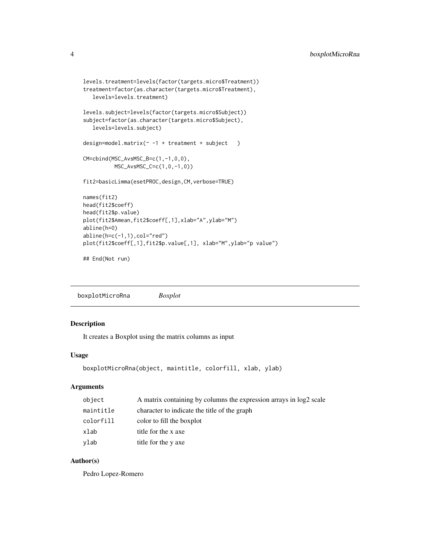```
levels.treatment=levels(factor(targets.micro$Treatment))
treatment=factor(as.character(targets.micro$Treatment),
  levels=levels.treatment)
levels.subject=levels(factor(targets.micro$Subject))
subject=factor(as.character(targets.micro$Subject),
  levels=levels.subject)
design=model.matrix(\sim -1 + treatment + subject )
CM=cbind(MSC_AvsMSC_B=c(1,-1,0,0),
         MSC_AvsMSC_C=c(1,0,-1,0))
fit2=basicLimma(esetPROC,design,CM,verbose=TRUE)
names(fit2)
head(fit2$coeff)
head(fit2$p.value)
plot(fit2$Amean,fit2$coeff[,1],xlab="A",ylab="M")
abline(h=0)
abline(h=c(-1,1),col="red")
```
plot(fit2\$coeff[,1],fit2\$p.value[,1], xlab="M",ylab="p value")

## End(Not run)

boxplotMicroRna *Boxplot*

# Description

It creates a Boxplot using the matrix columns as input

#### Usage

```
boxplotMicroRna(object, maintitle, colorfill, xlab, ylab)
```
#### Arguments

| object    | A matrix containing by columns the expression arrays in log2 scale |
|-----------|--------------------------------------------------------------------|
| maintitle | character to indicate the title of the graph                       |
| colorfill | color to fill the boxplot                                          |
| xlab      | title for the x axe                                                |
| ylab      | title for the y axe                                                |

### Author(s)

Pedro Lopez-Romero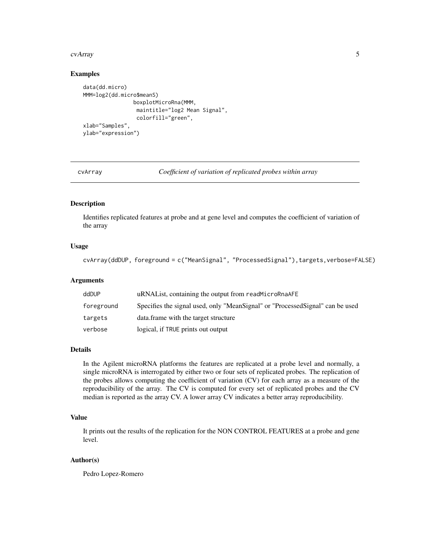#### <span id="page-4-0"></span>cvArray 5

#### Examples

```
data(dd.micro)
MMM=log2(dd.micro$meanS)
                boxplotMicroRna(MMM,
                 maintitle="log2 Mean Signal",
                 colorfill="green",
xlab="Samples",
ylab="expression")
```
cvArray *Coefficient of variation of replicated probes within array*

# Description

Identifies replicated features at probe and at gene level and computes the coefficient of variation of the array

# Usage

cvArray(ddDUP, foreground = c("MeanSignal", "ProcessedSignal"),targets,verbose=FALSE)

# Arguments

| ddDUP      | uRNAL ist, containing the output from readMicroRnaAFE                         |
|------------|-------------------------------------------------------------------------------|
| foreground | Specifies the signal used, only "MeanSignal" or "ProcessedSignal" can be used |
| targets    | data. frame with the target structure                                         |
| verbose    | logical, if TRUE prints out output                                            |

#### Details

In the Agilent microRNA platforms the features are replicated at a probe level and normally, a single microRNA is interrogated by either two or four sets of replicated probes. The replication of the probes allows computing the coefficient of variation (CV) for each array as a measure of the reproducibility of the array. The CV is computed for every set of replicated probes and the CV median is reported as the array CV. A lower array CV indicates a better array reproducibility.

# Value

It prints out the results of the replication for the NON CONTROL FEATURES at a probe and gene level.

# Author(s)

Pedro Lopez-Romero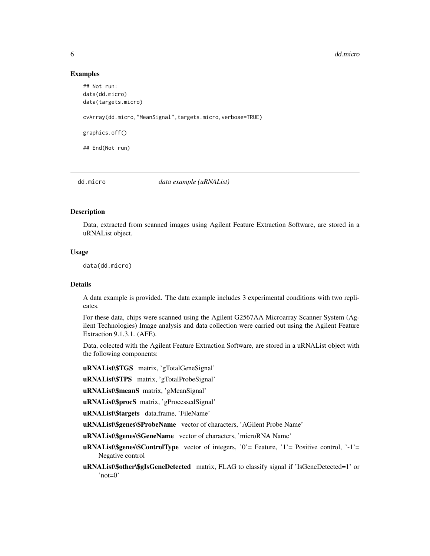#### 6 dd.micro and the contract of the contract of the contract of the contract of the contract of the contract of the contract of the contract of the contract of the contract of the contract of the contract of the contract of

#### Examples

```
## Not run:
data(dd.micro)
data(targets.micro)
cvArray(dd.micro,"MeanSignal",targets.micro,verbose=TRUE)
graphics.off()
## End(Not run)
```
dd.micro *data example (uRNAList)*

#### Description

Data, extracted from scanned images using Agilent Feature Extraction Software, are stored in a uRNAList object.

#### Usage

data(dd.micro)

#### Details

A data example is provided. The data example includes 3 experimental conditions with two replicates.

For these data, chips were scanned using the Agilent G2567AA Microarray Scanner System (Agilent Technologies) Image analysis and data collection were carried out using the Agilent Feature Extraction 9.1.3.1. (AFE).

Data, colected with the Agilent Feature Extraction Software, are stored in a uRNAList object with the following components:

uRNAList\\$TGS matrix, 'gTotalGeneSignal'

uRNAList\\$TPS matrix, 'gTotalProbeSignal'

uRNAList\\$meanS matrix, 'gMeanSignal'

uRNAList\\$procS matrix, 'gProcessedSignal'

uRNAList\\$targets data.frame, 'FileName'

uRNAList\\$genes\\$ProbeName vector of characters, 'AGilent Probe Name'

uRNAList\\$genes\\$GeneName vector of characters, 'microRNA Name'

- uRNAList\\$genes\\$ControlType vector of integers, '0'= Feature, '1'= Positive control, '-1'= Negative control
- uRNAList\\$other\\$gIsGeneDetected matrix, FLAG to classify signal if 'IsGeneDetected=1' or 'not=0'

<span id="page-5-0"></span>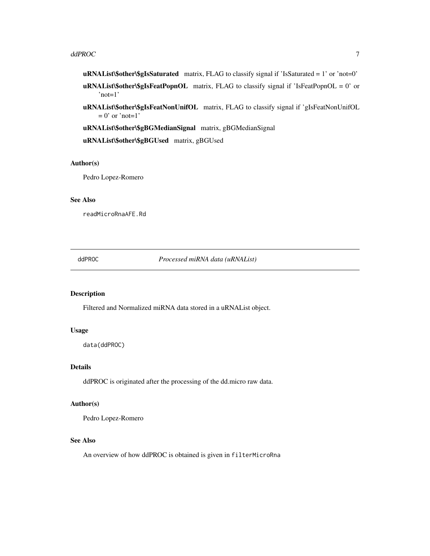#### <span id="page-6-0"></span> $d$ d $d$ PRO $C$   $\hspace{1.5cm}$  7

- $\mathbf{u}\mathbf{R}$ NAList $\mathbf{\$$ other $\mathbf{\$g}$ IsSaturated matrix, FLAG to classify signal if 'IsSaturated = 1' or 'not=0'
- $\mathbf{uRNAList}\$  other \\$glsFeatPopnOL matrix, FLAG to classify signal if 'IsFeatPopnOL = 0' or 'not=1'
- uRNAList\\$other\\$gIsFeatNonUnifOL matrix, FLAG to classify signal if 'gIsFeatNonUnifOL  $= 0$ ' or 'not=1'
- uRNAList\\$other\\$gBGMedianSignal matrix, gBGMedianSignal

uRNAList\\$other\\$gBGUsed matrix, gBGUsed

#### Author(s)

Pedro Lopez-Romero

#### See Also

readMicroRnaAFE.Rd

ddPROC *Processed miRNA data (uRNAList)*

# Description

Filtered and Normalized miRNA data stored in a uRNAList object.

#### Usage

```
data(ddPROC)
```
# Details

ddPROC is originated after the processing of the dd.micro raw data.

# Author(s)

Pedro Lopez-Romero

#### See Also

An overview of how ddPROC is obtained is given in filterMicroRna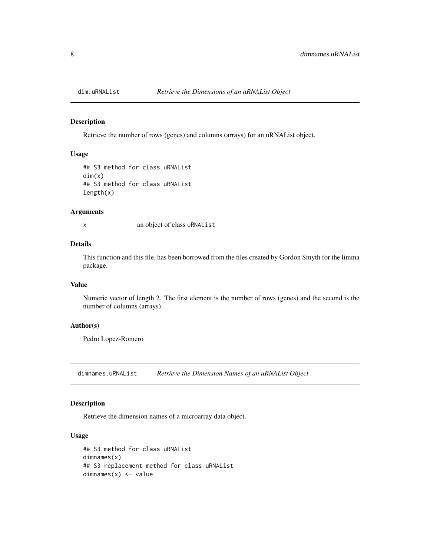<span id="page-7-0"></span>

#### Description

Retrieve the number of rows (genes) and columns (arrays) for an uRNAList object.

# Usage

```
## S3 method for class uRNAList
dim(x)
## S3 method for class uRNAList
length(x)
```
#### Arguments

x an object of class uRNAList

# Details

This function and this file, has been borrowed from the files created by Gordon Smyth for the limma package.

#### Value

Numeric vector of length 2. The first element is the number of rows (genes) and the second is the number of columns (arrays).

#### Author(s)

Pedro Lopez-Romero

dimnames.uRNAList *Retrieve the Dimension Names of an uRNAList Object*

# Description

Retrieve the dimension names of a microarray data object.

# Usage

```
## S3 method for class uRNAList
dimnames(x)
## S3 replacement method for class uRNAList
dimnames(x) <- value
```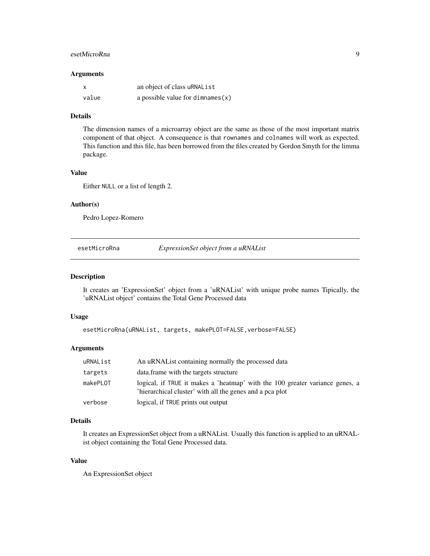# <span id="page-8-0"></span>esetMicroRna 9

#### Arguments

| x     | an object of class uRNAList         |
|-------|-------------------------------------|
| value | a possible value for dimnames $(x)$ |

#### Details

The dimension names of a microarray object are the same as those of the most important matrix component of that object. A consequence is that rownames and colnames will work as expected. This function and this file, has been borrowed from the files created by Gordon Smyth for the limma package.

# Value

Either NULL or a list of length 2.

# Author(s)

Pedro Lopez-Romero

esetMicroRna *ExpressionSet object from a uRNAList*

#### Description

It creates an 'ExpressionSet' object from a 'uRNAList' with unique probe names Tipically, the 'uRNAList object' contains the Total Gene Processed data

# Usage

esetMicroRna(uRNAList, targets, makePLOT=FALSE,verbose=FALSE)

#### Arguments

| uRNAList | An uRNAL ist containing normally the processed data                                                                                      |
|----------|------------------------------------------------------------------------------------------------------------------------------------------|
| targets  | data. frame with the targets structure                                                                                                   |
| makePLOT | logical, if TRUE it makes a 'heatmap' with the 100 greater variance genes, a<br>'hierarchical cluster' with all the genes and a pca plot |
| verbose  | logical, if TRUE prints out output                                                                                                       |

# Details

It creates an ExpressionSet object from a uRNAList. Usually this function is applied to an uRNAList object containing the Total Gene Processed data.

# Value

An ExpressionSet object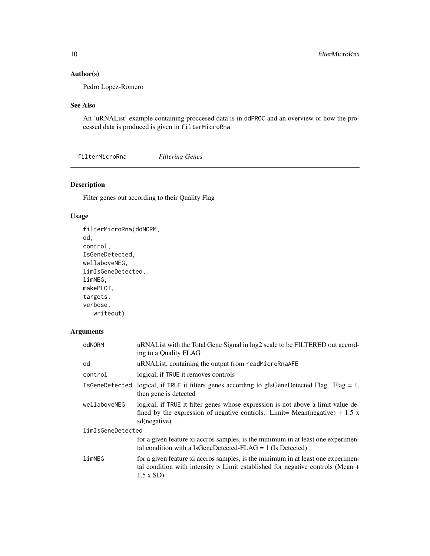# <span id="page-9-0"></span>Author(s)

Pedro Lopez-Romero

# See Also

An 'uRNAList' example containing proccesed data is in ddPROC and an overview of how the processed data is produced is given in filterMicroRna

filterMicroRna *Filtering Genes*

# Description

Filter genes out according to their Quality Flag

# Usage

```
filterMicroRna(ddNORM,
dd,
control,
IsGeneDetected,
wellaboveNEG,
limIsGeneDetected,
limNEG,
makePLOT,
targets,
verbose,
   writeout)
```
# Arguments

| ddNORM            | uRNAList with the Total Gene Signal in log2 scale to be FILTERED out accord-<br>ing to a Quality FLAG                                                                                     |  |  |  |  |
|-------------------|-------------------------------------------------------------------------------------------------------------------------------------------------------------------------------------------|--|--|--|--|
| dd                | uRNAList, containing the output from readMicroRnaAFE                                                                                                                                      |  |  |  |  |
| control           | logical, if TRUE it removes controls                                                                                                                                                      |  |  |  |  |
| IsGeneDetected    | logical, if TRUE it filters genes according to gIsGeneDetected Flag. Flag = 1,<br>then gene is detected                                                                                   |  |  |  |  |
| wellaboveNEG      | logical, if TRUE it filter genes whose expression is not above a limit value de-<br>fined by the expression of negative controls. Limit= Mean(negative) + 1.5 x<br>sd(negative)           |  |  |  |  |
| limIsGeneDetected |                                                                                                                                                                                           |  |  |  |  |
|                   | for a given feature xi accros samples, is the minimum in at least one experimen-<br>tal condition with a IsGeneDetected-FLAG = $1$ (Is Detected)                                          |  |  |  |  |
| limNEG            | for a given feature xi accros samples, is the minimum in at least one experimen-<br>tal condition with intensity $>$ Limit established for negative controls (Mean $+$<br>$1.5 \times SD$ |  |  |  |  |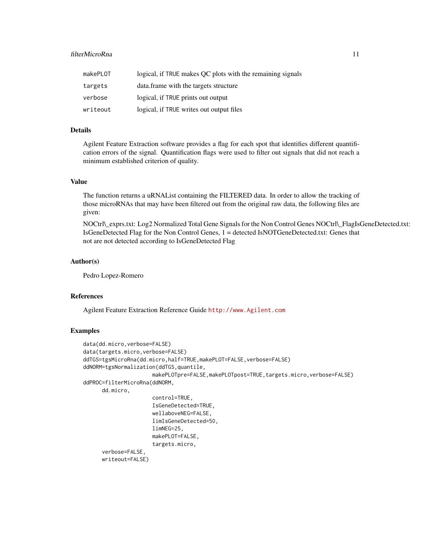# filterMicroRna 11

| makePLOT | logical, if TRUE makes OC plots with the remaining signals |
|----------|------------------------------------------------------------|
| targets  | data. frame with the targets structure                     |
| verbose  | logical, if TRUE prints out output                         |
| writeout | logical, if TRUE writes out output files                   |

# Details

Agilent Feature Extraction software provides a flag for each spot that identifies different quantification errors of the signal. Quantification flags were used to filter out signals that did not reach a minimum established criterion of quality.

# Value

The function returns a uRNAList containing the FILTERED data. In order to allow the tracking of those microRNAs that may have been filtered out from the original raw data, the following files are given:

NOCtrl\\_exprs.txt: Log2 Normalized Total Gene Signals for the Non Control Genes NOCtrl\\_FlagIsGeneDetected.txt: IsGeneDetected Flag for the Non Control Genes, 1 = detected IsNOTGeneDetected.txt: Genes that not are not detected according to IsGeneDetected Flag

#### Author(s)

Pedro Lopez-Romero

#### References

Agilent Feature Extraction Reference Guide <http://www.Agilent.com>

#### Examples

```
data(dd.micro,verbose=FALSE)
data(targets.micro,verbose=FALSE)
ddTGS=tgsMicroRna(dd.micro,half=TRUE,makePLOT=FALSE,verbose=FALSE)
ddNORM=tgsNormalization(ddTGS,quantile,
                      makePLOTpre=FALSE, makePLOTpost=TRUE, targets.micro, verbose=FALSE)
ddPROC=filterMicroRna(ddNORM,
     dd.micro,
                      control=TRUE,
                      IsGeneDetected=TRUE,
                      wellaboveNEG=FALSE,
                      limIsGeneDetected=50,
                      limNEG=25,
                      makePLOT=FALSE,
                      targets.micro,
      verbose=FALSE,
     writeout=FALSE)
```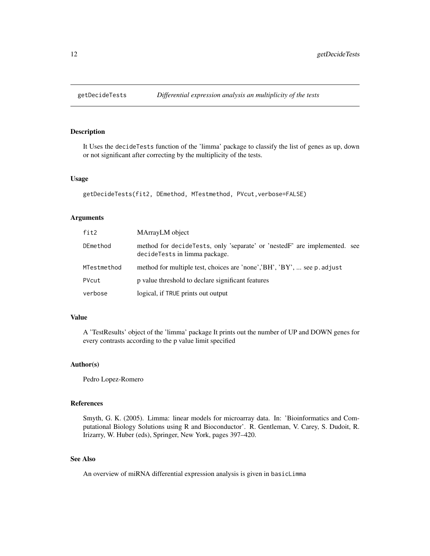<span id="page-11-0"></span>

# Description

It Uses the decideTests function of the 'limma' package to classify the list of genes as up, down or not significant after correcting by the multiplicity of the tests.

#### Usage

```
getDecideTests(fit2, DEmethod, MTestmethod, PVcut,verbose=FALSE)
```
# Arguments

| fit2        | MArrayLM object                                                                                              |
|-------------|--------------------------------------------------------------------------------------------------------------|
| DEmethod    | method for decide Tests, only 'separate' or 'nested F' are implemented. see<br>decideTests in limma package. |
| MTestmethod | method for multiple test, choices are 'none','BH', 'BY',  see p. adjust                                      |
| PVcut       | p value threshold to declare significant features                                                            |
| verbose     | logical, if TRUE prints out output                                                                           |

# Value

A 'TestResults' object of the 'limma' package It prints out the number of UP and DOWN genes for every contrasts according to the p value limit specified

#### Author(s)

Pedro Lopez-Romero

#### References

Smyth, G. K. (2005). Limma: linear models for microarray data. In: 'Bioinformatics and Computational Biology Solutions using R and Bioconductor'. R. Gentleman, V. Carey, S. Dudoit, R. Irizarry, W. Huber (eds), Springer, New York, pages 397–420.

# See Also

An overview of miRNA differential expression analysis is given in basicLimma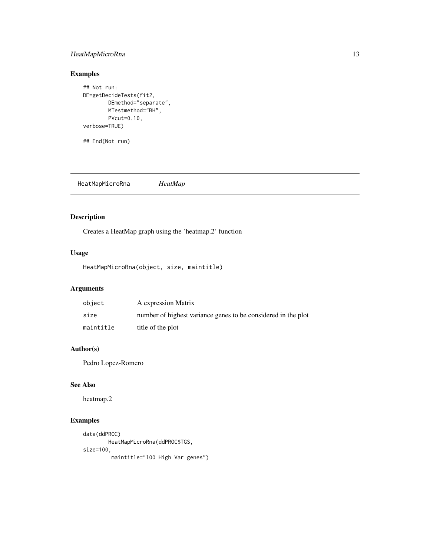# <span id="page-12-0"></span>HeatMapMicroRna 13

# Examples

```
## Not run:
DE=getDecideTests(fit2,
        DEmethod="separate",
        MTestmethod="BH",
        PVcut=0.10,
verbose=TRUE)
```
## End(Not run)

HeatMapMicroRna *HeatMap*

# Description

Creates a HeatMap graph using the 'heatmap.2' function

# Usage

HeatMapMicroRna(object, size, maintitle)

# Arguments

| object    | A expression Matrix                                           |
|-----------|---------------------------------------------------------------|
| size      | number of highest variance genes to be considered in the plot |
| maintitle | title of the plot                                             |

# Author(s)

Pedro Lopez-Romero

# See Also

heatmap.2

# Examples

```
data(ddPROC)
       HeatMapMicroRna(ddPROC$TGS,
size=100,
        maintitle="100 High Var genes")
```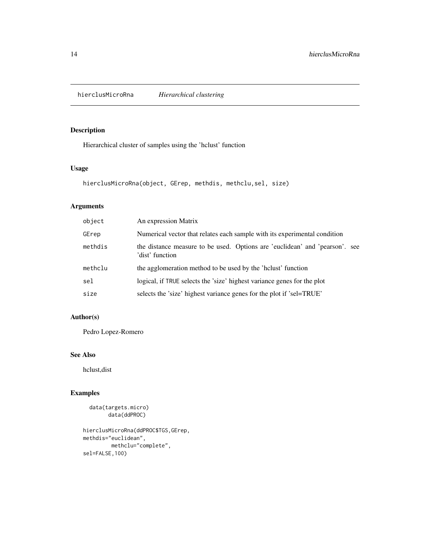<span id="page-13-0"></span>hierclusMicroRna *Hierarchical clustering*

# Description

Hierarchical cluster of samples using the 'hclust' function

# Usage

```
hierclusMicroRna(object, GErep, methdis, methclu,sel, size)
```
# Arguments

| object  | An expression Matrix                                                                           |
|---------|------------------------------------------------------------------------------------------------|
| GErep   | Numerical vector that relates each sample with its experimental condition                      |
| methdis | the distance measure to be used. Options are 'euclidean' and 'pearson'. see<br>'dist' function |
| methclu | the agglomeration method to be used by the 'holust' function                                   |
| sel     | logical, if TRUE selects the 'size' highest variance genes for the plot                        |
| size    | selects the 'size' highest variance genes for the plot if 'sel=TRUE'                           |

# Author(s)

Pedro Lopez-Romero

# See Also

hclust,dist

# Examples

```
data(targets.micro)
     data(ddPROC)
```
hierclusMicroRna(ddPROC\$TGS,GErep, methdis="euclidean", methclu="complete", sel=FALSE,100)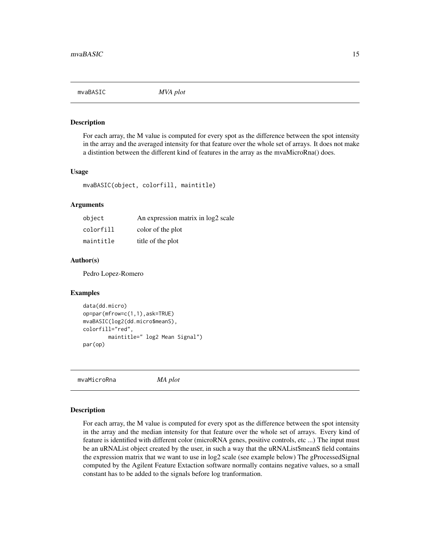<span id="page-14-0"></span>mvaBASIC *MVA plot*

#### Description

For each array, the M value is computed for every spot as the difference between the spot intensity in the array and the averaged intensity for that feature over the whole set of arrays. It does not make a distintion between the different kind of features in the array as the mvaMicroRna() does.

#### Usage

mvaBASIC(object, colorfill, maintitle)

## Arguments

| object    | An expression matrix in log2 scale |
|-----------|------------------------------------|
| colorfill | color of the plot                  |
| maintitle | title of the plot                  |

#### Author(s)

Pedro Lopez-Romero

# Examples

```
data(dd.micro)
op=par(mfrow=c(1,1),ask=TRUE)
mvaBASIC(log2(dd.micro$meanS),
colorfill="red",
        maintitle=" log2 Mean Signal")
par(op)
```
mvaMicroRna *MA plot*

#### **Description**

For each array, the M value is computed for every spot as the difference between the spot intensity in the array and the median intensity for that feature over the whole set of arrays. Every kind of feature is identified with different color (microRNA genes, positive controls, etc ...) The input must be an uRNAList object created by the user, in such a way that the uRNAList\$meanS field contains the expression matrix that we want to use in log2 scale (see example below) The gProcessedSignal computed by the Agilent Feature Extaction software normally contains negative values, so a small constant has to be added to the signals before log tranformation.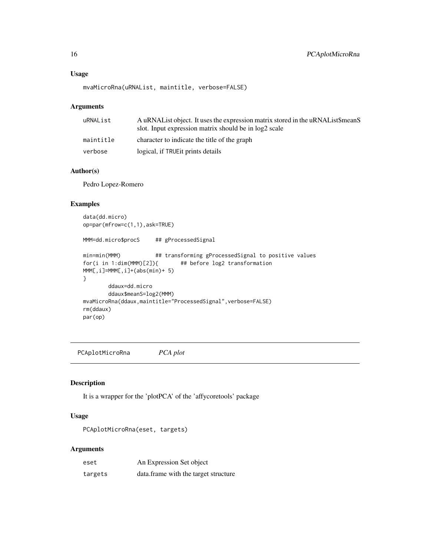# <span id="page-15-0"></span>Usage

```
mvaMicroRna(uRNAList, maintitle, verbose=FALSE)
```
#### Arguments

| uRNAList  | A uRNAL ist object. It uses the expression matrix stored in the uRNAL ist\$meanS<br>slot. Input expression matrix should be in log2 scale |
|-----------|-------------------------------------------------------------------------------------------------------------------------------------------|
| maintitle | character to indicate the title of the graph                                                                                              |
| verbose   | logical, if TRUE it prints details                                                                                                        |

# Author(s)

Pedro Lopez-Romero

# Examples

```
data(dd.micro)
op=par(mfrow=c(1,1),ask=TRUE)
MMM=dd.micro$procS ## gProcessedSignal
min=min(MMM) ## transforming gProcessedSignal to positive values
for(i in 1:dim(MMM)[2]){ ## before log2 transformation
MMM[,i]=MMM[,i]+(abs(min)+ 5)
}
       ddaux=dd.micro
       ddaux$meanS=log2(MMM)
mvaMicroRna(ddaux,maintitle="ProcessedSignal",verbose=FALSE)
rm(ddaux)
par(op)
```
PCAplotMicroRna *PCA plot*

# Description

It is a wrapper for the 'plotPCA' of the 'affycoretools' package

#### Usage

PCAplotMicroRna(eset, targets)

#### Arguments

| eset    | An Expression Set object             |
|---------|--------------------------------------|
| targets | data.frame with the target structure |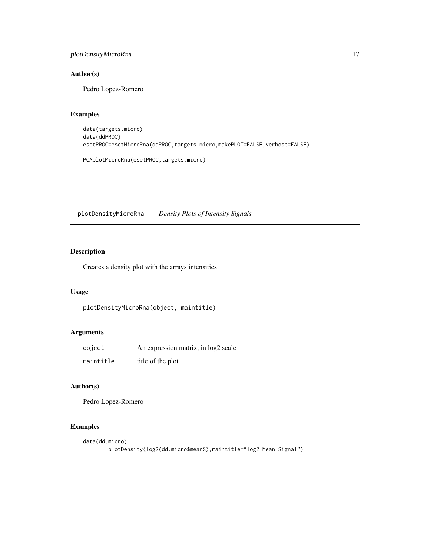# <span id="page-16-0"></span>plotDensityMicroRna 17

# Author(s)

Pedro Lopez-Romero

# Examples

```
data(targets.micro)
data(ddPROC)
esetPROC=esetMicroRna(ddPROC,targets.micro,makePLOT=FALSE,verbose=FALSE)
```
PCAplotMicroRna(esetPROC,targets.micro)

plotDensityMicroRna *Density Plots of Intensity Signals*

# Description

Creates a density plot with the arrays intensities

# Usage

```
plotDensityMicroRna(object, maintitle)
```
# Arguments

| object    | An expression matrix, in log2 scale |
|-----------|-------------------------------------|
| maintitle | title of the plot                   |

# Author(s)

Pedro Lopez-Romero

# Examples

```
data(dd.micro)
       plotDensity(log2(dd.micro$meanS),maintitle="log2 Mean Signal")
```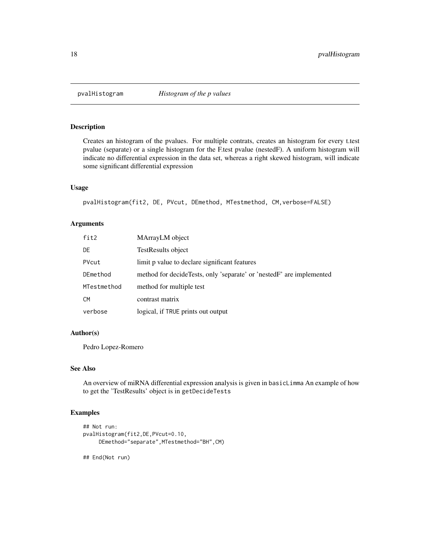<span id="page-17-0"></span>

# Description

Creates an histogram of the pvalues. For multiple contrats, creates an histogram for every t.test pvalue (separate) or a single histogram for the F.test pvalue (nestedF). A uniform histogram will indicate no differential expression in the data set, whereas a right skewed histogram, will indicate some significant differential expression

#### Usage

pvalHistogram(fit2, DE, PVcut, DEmethod, MTestmethod, CM,verbose=FALSE)

# Arguments

| fit2        | MArrayLM object                                                      |
|-------------|----------------------------------------------------------------------|
| DE          | TestResults object                                                   |
| PVcut       | limit p value to declare significant features                        |
| DEmethod    | method for decideTests, only 'separate' or 'nestedF' are implemented |
| MTestmethod | method for multiple test                                             |
| <b>CM</b>   | contrast matrix                                                      |
| verbose     | logical, if TRUE prints out output                                   |

# Author(s)

Pedro Lopez-Romero

# See Also

An overview of miRNA differential expression analysis is given in basicLimma An example of how to get the 'TestResults' object is in getDecideTests

# Examples

```
## Not run:
pvalHistogram(fit2,DE,PVcut=0.10,
    DEmethod="separate",MTestmethod="BH",CM)
## End(Not run)
```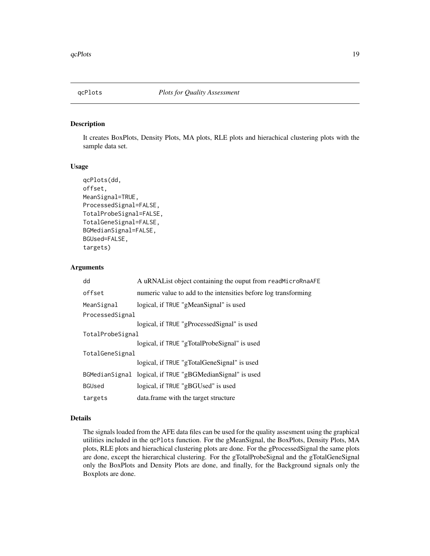<span id="page-18-0"></span>

# Description

It creates BoxPlots, Density Plots, MA plots, RLE plots and hierachical clustering plots with the sample data set.

#### Usage

```
qcPlots(dd,
offset,
MeanSignal=TRUE,
ProcessedSignal=FALSE,
TotalProbeSignal=FALSE,
TotalGeneSignal=FALSE,
BGMedianSignal=FALSE,
BGUsed=FALSE,
targets)
```
# Arguments

| dd               | A uRNAList object containing the ouput from readMicroRnaAFE     |  |
|------------------|-----------------------------------------------------------------|--|
| offset           | numeric value to add to the intensities before log transforming |  |
| MeanSignal       | logical, if TRUE "gMeanSignal" is used                          |  |
| ProcessedSignal  |                                                                 |  |
|                  | logical, if TRUE "gProcessedSignal" is used                     |  |
| TotalProbeSignal |                                                                 |  |
|                  | logical, if TRUE "gTotalProbeSignal" is used                    |  |
| TotalGeneSignal  |                                                                 |  |
|                  | logical, if TRUE "gTotalGeneSignal" is used                     |  |
|                  | BGMedianSignal logical, if TRUE "gBGMedianSignal" is used       |  |
| <b>BGUsed</b>    | logical, if TRUE "gBGUsed" is used                              |  |
| targets          | data. frame with the target structure                           |  |

# Details

The signals loaded from the AFE data files can be used for the quality assesment using the graphical utilities included in the qcPlots function. For the gMeanSignal, the BoxPlots, Density Plots, MA plots, RLE plots and hierachical clustering plots are done. For the gProcessedSignal the same plots are done, except the hierarchical clustering. For the gTotalProbeSignal and the gTotalGeneSignal only the BoxPlots and Density Plots are done, and finally, for the Background signals only the Boxplots are done.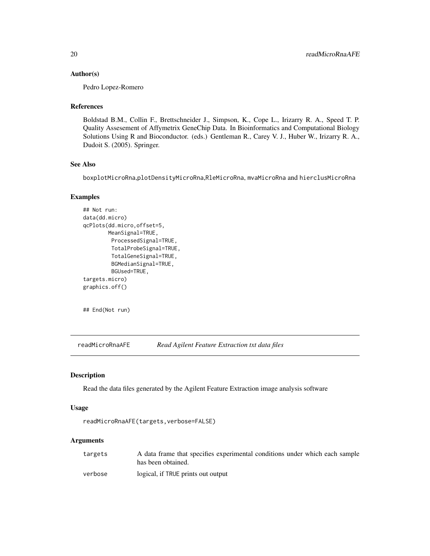#### <span id="page-19-0"></span>Author(s)

Pedro Lopez-Romero

#### References

Boldstad B.M., Collin F., Brettschneider J., Simpson, K., Cope L., Irizarry R. A., Speed T. P. Quality Assesement of Affymetrix GeneChip Data. In Bioinformatics and Computational Biology Solutions Using R and Bioconductor. (eds.) Gentleman R., Carey V. J., Huber W., Irizarry R. A., Dudoit S. (2005). Springer.

#### See Also

boxplotMicroRna,plotDensityMicroRna,RleMicroRna, mvaMicroRna and hierclusMicroRna

# Examples

```
## Not run:
data(dd.micro)
qcPlots(dd.micro,offset=5,
       MeanSignal=TRUE,
        ProcessedSignal=TRUE,
        TotalProbeSignal=TRUE,
        TotalGeneSignal=TRUE,
        BGMedianSignal=TRUE,
        BGUsed=TRUE,
targets.micro)
graphics.off()
```
## End(Not run)

readMicroRnaAFE *Read Agilent Feature Extraction txt data files*

# Description

Read the data files generated by the Agilent Feature Extraction image analysis software

# Usage

```
readMicroRnaAFE(targets,verbose=FALSE)
```
#### Arguments

| targets | A data frame that specifies experimental conditions under which each sample |
|---------|-----------------------------------------------------------------------------|
|         | has been obtained.                                                          |
| verbose | logical, if TRUE prints out output                                          |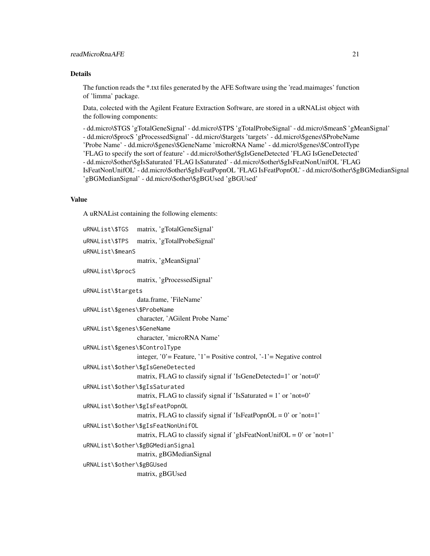# readMicroRnaAFE 21

# Details

The function reads the \*.txt files generated by the AFE Software using the 'read.maimages' function of 'limma' package.

Data, colected with the Agilent Feature Extraction Software, are stored in a uRNAList object with the following components:

- dd.micro\\$TGS 'gTotalGeneSignal' - dd.micro\\$TPS 'gTotalProbeSignal' - dd.micro\\$meanS 'gMeanSignal' - dd.micro\\$procS 'gProcessedSignal' - dd.micro\\$targets 'targets' - dd.micro\\$genes\\$ProbeName 'Probe Name' - dd.micro\\$genes\\$GeneName 'microRNA Name' - dd.micro\\$genes\\$ControlType 'FLAG to specify the sort of feature' - dd.micro\\$other\\$gIsGeneDetected 'FLAG IsGeneDetected' - dd.micro\\$other\\$gIsSaturated 'FLAG IsSaturated' - dd.micro\\$other\\$gIsFeatNonUnifOL 'FLAG IsFeatNonUnifOL' - dd.micro\\$other\\$gIsFeatPopnOL 'FLAG IsFeatPopnOL' - dd.micro\\$other\\$gBGMedianSignal 'gBGMedianSignal' - dd.micro\\$other\\$gBGUsed 'gBGUsed'

# Value

A uRNAList containing the following elements:

| uRNAList\\$TGS                   | matrix, 'gTotalGeneSignal'                                              |
|----------------------------------|-------------------------------------------------------------------------|
| uRNAList\\$TPS                   | matrix, 'gTotalProbeSignal'                                             |
| uRNAList\\$meanS                 |                                                                         |
|                                  | matrix, 'gMeanSignal'                                                   |
| uRNAList\\$procS                 |                                                                         |
|                                  | matrix, 'gProcessedSignal'                                              |
| uRNAList\\$targets               |                                                                         |
|                                  | data.frame, 'FileName'                                                  |
| uRNAList\\$genes\\$ProbeName     |                                                                         |
|                                  | character, 'AGilent Probe Name'                                         |
| uRNAList\\$genes\\$GeneName      |                                                                         |
|                                  | character, 'microRNA Name'                                              |
| uRNAList\\$genes\\$ControlType   |                                                                         |
|                                  | integer, '0' = Feature, '1' = Positive control, '-1' = Negative control |
|                                  | uRNAList\\$other\\$gIsGeneDetected                                      |
|                                  | matrix, FLAG to classify signal if 'IsGeneDetected=1' or 'not=0'        |
| uRNAList\\$other\\$gIsSaturated  |                                                                         |
|                                  | matrix, FLAG to classify signal if 'IsSaturated = $1'$ or 'not=0'       |
| uRNAList\\$other\\$gIsFeatPopnOL |                                                                         |
|                                  | matrix, FLAG to classify signal if 'IsFeatPopnOL = $0$ ' or 'not=1'     |
|                                  | uRNAList\\$other\\$gIsFeatNonUnifOL                                     |
|                                  | matrix, FLAG to classify signal if 'gIsFeatNonUnifOL = $0$ ' or 'not=1' |
|                                  | uRNAList\\$other\\$gBGMedianSignal                                      |
|                                  | matrix, gBGMedianSignal                                                 |
| uRNAList\\$other\\$gBGUsed       |                                                                         |
|                                  | matrix, gBGUsed                                                         |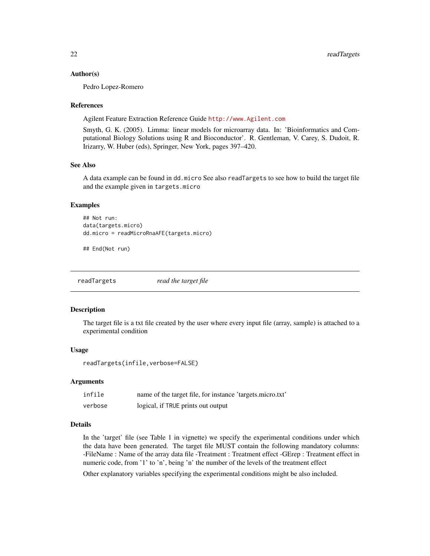#### <span id="page-21-0"></span>Author(s)

Pedro Lopez-Romero

#### References

Agilent Feature Extraction Reference Guide <http://www.Agilent.com>

Smyth, G. K. (2005). Limma: linear models for microarray data. In: 'Bioinformatics and Computational Biology Solutions using R and Bioconductor'. R. Gentleman, V. Carey, S. Dudoit, R. Irizarry, W. Huber (eds), Springer, New York, pages 397–420.

#### See Also

A data example can be found in dd.micro See also readTargets to see how to build the target file and the example given in targets.micro

#### Examples

```
## Not run:
data(targets.micro)
dd.micro = readMicroRnaAFE(targets.micro)
```
## End(Not run)

readTargets *read the target file*

#### Description

The target file is a txt file created by the user where every input file (array, sample) is attached to a experimental condition

#### Usage

readTargets(infile,verbose=FALSE)

#### Arguments

| infile  | name of the target file, for instance 'targets.micro.txt' |
|---------|-----------------------------------------------------------|
| verbose | logical, if TRUE prints out output                        |

#### Details

In the 'target' file (see Table 1 in vignette) we specify the experimental conditions under which the data have been generated. The target file MUST contain the following mandatory columns: -FileName : Name of the array data file -Treatment : Treatment effect -GErep : Treatment effect in numeric code, from '1' to 'n', being 'n' the number of the levels of the treatment effect

Other explanatory variables specifying the experimental conditions might be also included.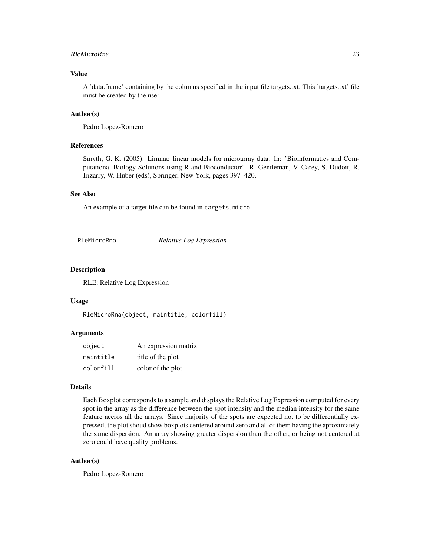#### <span id="page-22-0"></span>RleMicroRna 23

# Value

A 'data.frame' containing by the columns specified in the input file targets.txt. This 'targets.txt' file must be created by the user.

# Author(s)

Pedro Lopez-Romero

#### References

Smyth, G. K. (2005). Limma: linear models for microarray data. In: 'Bioinformatics and Computational Biology Solutions using R and Bioconductor'. R. Gentleman, V. Carey, S. Dudoit, R. Irizarry, W. Huber (eds), Springer, New York, pages 397–420.

#### See Also

An example of a target file can be found in targets.micro

RleMicroRna *Relative Log Expression*

#### Description

RLE: Relative Log Expression

# Usage

RleMicroRna(object, maintitle, colorfill)

#### Arguments

| object    | An expression matrix |
|-----------|----------------------|
| maintitle | title of the plot    |
| colorfill | color of the plot    |

# Details

Each Boxplot corresponds to a sample and displays the Relative Log Expression computed for every spot in the array as the difference between the spot intensity and the median intensity for the same feature accros all the arrays. Since majority of the spots are expected not to be differentially expressed, the plot shoud show boxplots centered around zero and all of them having the aproximately the same dispersion. An array showing greater dispersion than the other, or being not centered at zero could have quality problems.

#### Author(s)

Pedro Lopez-Romero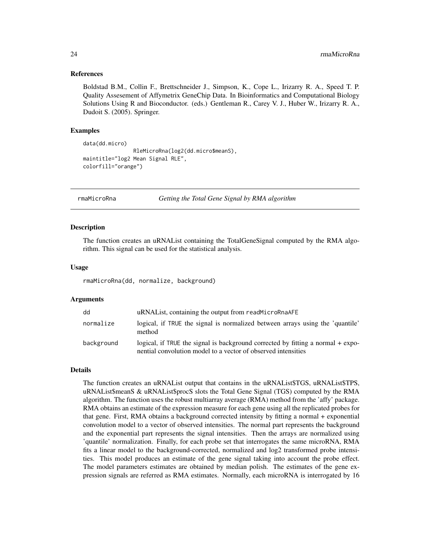#### <span id="page-23-0"></span>References

Boldstad B.M., Collin F., Brettschneider J., Simpson, K., Cope L., Irizarry R. A., Speed T. P. Quality Assesement of Affymetrix GeneChip Data. In Bioinformatics and Computational Biology Solutions Using R and Bioconductor. (eds.) Gentleman R., Carey V. J., Huber W., Irizarry R. A., Dudoit S. (2005). Springer.

#### Examples

```
data(dd.micro)
                RleMicroRna(log2(dd.micro$meanS),
maintitle="log2 Mean Signal RLE",
colorfill="orange")
```
rmaMicroRna *Getting the Total Gene Signal by RMA algorithm*

#### Description

The function creates an uRNAList containing the TotalGeneSignal computed by the RMA algorithm. This signal can be used for the statistical analysis.

#### Usage

rmaMicroRna(dd, normalize, background)

#### Arguments

| dd         | uRNAList, containing the output from readMicroRnaAFE                                                                                             |
|------------|--------------------------------------------------------------------------------------------------------------------------------------------------|
| normalize  | logical, if TRUE the signal is normalized between arrays using the 'quantile'<br>method                                                          |
| background | logical, if TRUE the signal is background corrected by fitting a normal + expo-<br>nential convolution model to a vector of observed intensities |

#### Details

The function creates an uRNAList output that contains in the uRNAList\$TGS, uRNAList\$TPS, uRNAList\$meanS & uRNAList\$procS slots the Total Gene Signal (TGS) computed by the RMA algorithm. The function uses the robust multiarray average (RMA) method from the 'affy' package. RMA obtains an estimate of the expression measure for each gene using all the replicated probes for that gene. First, RMA obtains a background corrected intensity by fitting a normal + exponential convolution model to a vector of observed intensities. The normal part represents the background and the exponential part represents the signal intensities. Then the arrays are normalized using 'quantile' normalization. Finally, for each probe set that interrogates the same microRNA, RMA fits a linear model to the background-corrected, normalized and log2 transformed probe intensities. This model produces an estimate of the gene signal taking into account the probe effect. The model parameters estimates are obtained by median polish. The estimates of the gene expression signals are referred as RMA estimates. Normally, each microRNA is interrogated by 16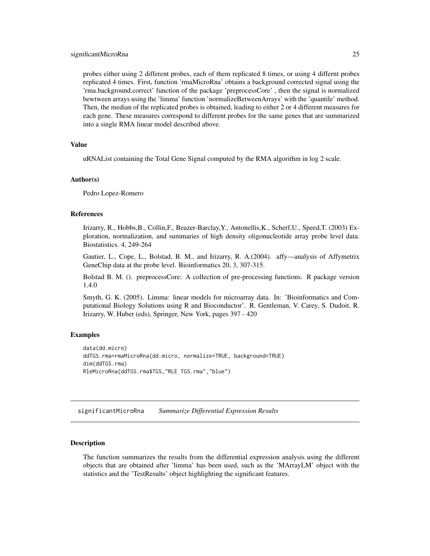<span id="page-24-0"></span>probes either using 2 different probes, each of them replicated 8 times, or using 4 differnt probes replicated 4 times. First, function 'rmaMicroRna' obtains a background corrected signal using the 'rma.background.correct' function of the package 'preprocessCore' , then the signal is normalized bewtween arrays using the 'limma' function 'normalizeBetweenArrays' with the 'quantile' method. Then, the median of the replicated probes is obtained, leading to either 2 or 4 different measures for each gene. These measures correspond to different probes for the same genes that are summarized into a single RMA linear model described above.

#### Value

uRNAList containing the Total Gene Signal computed by the RMA algorithm in log 2 scale.

#### Author(s)

Pedro Lopez-Romero

#### References

Irizarry, R., Hobbs,B., Collin,F., Beazer-Barclay,Y., Antonellis,K., Scherf,U., Speed,T. (2003) Exploration, normalization, and summaries of high density oligonucleotide array probe level data. Biostatistics. 4, 249-264

Gautier, L., Cope, L., Bolstad, B. M., and Irizarry, R. A.(2004). affy—analysis of Affymetrix GeneChip data at the probe level. Bioinformatics 20, 3, 307-315.

Bolstad B. M. (). preprocessCore: A collection of pre-processing functions. R package version 1.4.0

Smyth, G. K. (2005). Limma: linear models for microarray data. In: 'Bioinformatics and Computational Biology Solutions using R and Bioconductor'. R. Gentleman, V. Carey, S. Dudoit, R. Irizarry, W. Huber (eds), Springer, New York, pages 397 - 420

#### Examples

```
data(dd.micro)
ddTGS.rma=rmaMicroRna(dd.micro, normalize=TRUE, background=TRUE)
dim(ddTGS.rma)
RleMicroRna(ddTGS.rma$TGS,"RLE TGS.rma","blue")
```
significantMicroRna *Summarize Differential Expression Results*

#### Description

The function summarizes the results from the differential expression analysis using the different objects that are obtained after 'limma' has been used, such as the 'MArrayLM' object with the statistics and the 'TestResults' object highlighting the significant features.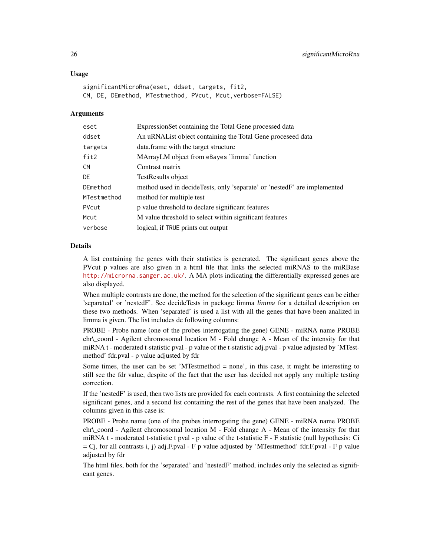### Usage

significantMicroRna(eset, ddset, targets, fit2, CM, DE, DEmethod, MTestmethod, PVcut, Mcut,verbose=FALSE)

#### Arguments

| eset        | Expression Set containing the Total Gene processed data                  |
|-------------|--------------------------------------------------------------------------|
| ddset       | An uRNAL ist object containing the Total Gene processed data             |
| targets     | data. frame with the target structure                                    |
| fit2        | MArrayLM object from eBayes 'limma' function                             |
| <b>CM</b>   | Contrast matrix                                                          |
| DE          | TestResults object                                                       |
| DEmethod    | method used in decideTests, only 'separate' or 'nestedF' are implemented |
| MTestmethod | method for multiple test                                                 |
| PVcut       | p value threshold to declare significant features                        |
| Mcut        | M value threshold to select within significant features                  |
| verbose     | logical, if TRUE prints out output                                       |

#### Details

A list containing the genes with their statistics is generated. The significant genes above the PVcut p values are also given in a html file that links the selected miRNAS to the miRBase <http://microrna.sanger.ac.uk/>. A MA plots indicating the differentially expressed genes are also displayed.

When multiple contrasts are done, the method for the selection of the significant genes can be either 'separated' or 'nestedF'. See decideTests in package limma limma for a detailed description on these two methods. When 'separated' is used a list with all the genes that have been analized in limma is given. The list includes de following columns:

PROBE - Probe name (one of the probes interrogating the gene) GENE - miRNA name PROBE  $chr \cdot coord - Agilent \cdot chromosomal \cdot location \cdot M - Fold \cdot change \cdot A - Mean \cdot of \cdot the \cdot intensity \cdot for \cdot that$ miRNA t - moderated t-statistic pval - p value of the t-statistic adj.pval - p value adjusted by 'MTestmethod' fdr.pval - p value adjusted by fdr

Some times, the user can be set 'MTestmethod = none', in this case, it might be interesting to still see the fdr value, despite of the fact that the user has decided not apply any multiple testing correction.

If the 'nestedF' is used, then two lists are provided for each contrasts. A first containing the selected significant genes, and a second list containing the rest of the genes that have been analyzed. The columns given in this case is:

PROBE - Probe name (one of the probes interrogating the gene) GENE - miRNA name PROBE  $chr \text{ } coord$  - Agilent chromosomal location M - Fold change A - Mean of the intensity for that miRNA t - moderated t-statistic t pval - p value of the t-statistic F - F statistic (null hypothesis: Ci  $= C<sub>j</sub>$ , for all contrasts i, j) adj.F.pval - F p value adjusted by 'MTestmethod' fdr.F.pval - F p value adjusted by fdr

The html files, both for the 'separated' and 'nestedF' method, includes only the selected as significant genes.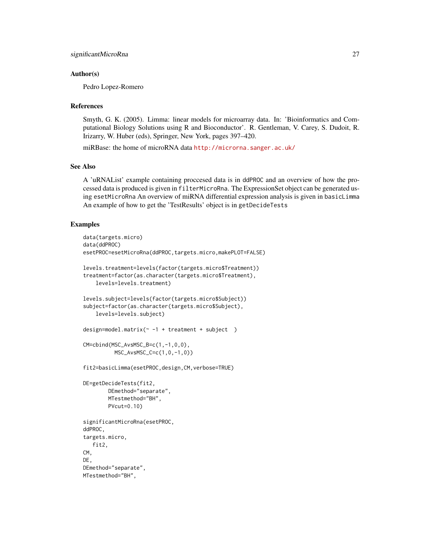# Author(s)

Pedro Lopez-Romero

#### References

Smyth, G. K. (2005). Limma: linear models for microarray data. In: 'Bioinformatics and Computational Biology Solutions using R and Bioconductor'. R. Gentleman, V. Carey, S. Dudoit, R. Irizarry, W. Huber (eds), Springer, New York, pages 397–420.

miRBase: the home of microRNA data <http://microrna.sanger.ac.uk/>

#### See Also

A 'uRNAList' example containing proccesed data is in ddPROC and an overview of how the processed data is produced is given in filterMicroRna. The ExpressionSet object can be generated using esetMicroRna An overview of miRNA differential expression analysis is given in basicLimma An example of how to get the 'TestResults' object is in getDecideTests

#### Examples

```
data(targets.micro)
data(ddPROC)
esetPROC=esetMicroRna(ddPROC,targets.micro,makePLOT=FALSE)
levels.treatment=levels(factor(targets.micro$Treatment))
treatment=factor(as.character(targets.micro$Treatment),
   levels=levels.treatment)
levels.subject=levels(factor(targets.micro$Subject))
subject=factor(as.character(targets.micro$Subject),
    levels=levels.subject)
design=model.matrix(\sim -1 + treatment + subject )
CM=cbind(MSC_AvsMSC_B=c(1,-1,0,0),
         MSC_AvsMSC_C=c(1,0,-1,0))
fit2=basicLimma(esetPROC,design,CM,verbose=TRUE)
DE=getDecideTests(fit2,
       DEmethod="separate",
        MTestmethod="BH",
        PVcut=0.10)
significantMicroRna(esetPROC,
ddPROC,
targets.micro,
```
fit2, CM, DE, DEmethod="separate", MTestmethod="BH",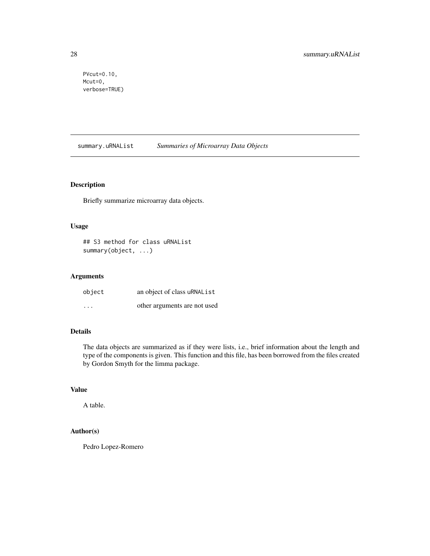<span id="page-27-0"></span>PVcut=0.10, Mcut=0, verbose=TRUE)

summary.uRNAList *Summaries of Microarray Data Objects*

# Description

Briefly summarize microarray data objects.

#### Usage

## S3 method for class uRNAList summary(object, ...)

# Arguments

| object            | an object of class uRNAList  |
|-------------------|------------------------------|
| $\cdot\cdot\cdot$ | other arguments are not used |

# Details

The data objects are summarized as if they were lists, i.e., brief information about the length and type of the components is given. This function and this file, has been borrowed from the files created by Gordon Smyth for the limma package.

# Value

A table.

# Author(s)

Pedro Lopez-Romero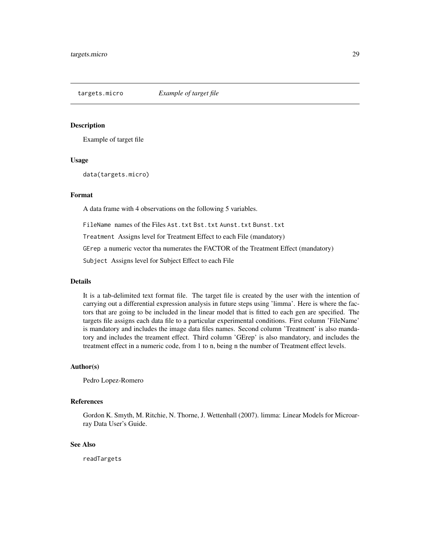<span id="page-28-0"></span>

#### Description

Example of target file

#### Usage

data(targets.micro)

#### Format

A data frame with 4 observations on the following 5 variables.

FileName names of the Files Ast.txt Bst.txt Aunst.txt Bunst.txt

Treatment Assigns level for Treatment Effect to each File (mandatory)

GErep a numeric vector tha numerates the FACTOR of the Treatment Effect (mandatory)

Subject Assigns level for Subject Effect to each File

# Details

It is a tab-delimited text format file. The target file is created by the user with the intention of carrying out a differential expression analysis in future steps using 'limma'. Here is where the factors that are going to be included in the linear model that is fitted to each gen are specified. The targets file assigns each data file to a particular experimental conditions. First column 'FileName' is mandatory and includes the image data files names. Second column 'Treatment' is also mandatory and includes the treament effect. Third column 'GErep' is also mandatory, and includes the treatment effect in a numeric code, from 1 to n, being n the number of Treatment effect levels.

#### Author(s)

Pedro Lopez-Romero

#### References

Gordon K. Smyth, M. Ritchie, N. Thorne, J. Wettenhall (2007). limma: Linear Models for Microarray Data User's Guide.

#### See Also

readTargets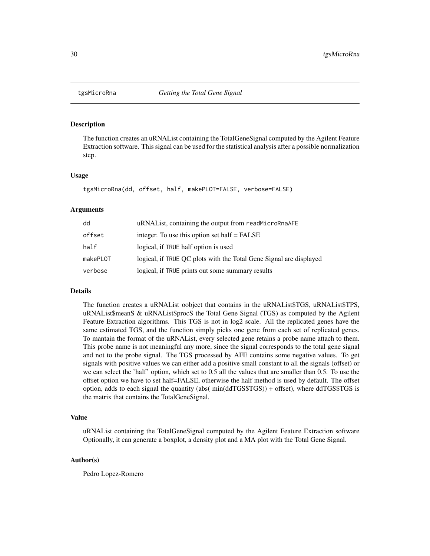<span id="page-29-0"></span>

#### Description

The function creates an uRNAList containing the TotalGeneSignal computed by the Agilent Feature Extraction software. This signal can be used for the statistical analysis after a possible normalization step.

#### Usage

tgsMicroRna(dd, offset, half, makePLOT=FALSE, verbose=FALSE)

#### Arguments

| dd       | uRNAList, containing the output from readMicroRnaAFE               |
|----------|--------------------------------------------------------------------|
| offset   | integer. To use this option set half $=$ FALSE                     |
| half     | logical, if TRUE half option is used                               |
| makePLOT | logical, if TRUE QC plots with the Total Gene Signal are displayed |
| verbose  | logical, if TRUE prints out some summary results                   |

#### Details

The function creates a uRNAList oobject that contains in the uRNAList\$TGS, uRNAList\$TPS, uRNAList\$meanS & uRNAList\$procS the Total Gene Signal (TGS) as computed by the Agilent Feature Extraction algorithms. This TGS is not in log2 scale. All the replicated genes have the same estimated TGS, and the function simply picks one gene from each set of replicated genes. To mantain the format of the uRNAList, every selected gene retains a probe name attach to them. This probe name is not meaningful any more, since the signal corresponds to the total gene signal and not to the probe signal. The TGS processed by AFE contains some negative values. To get signals with positive values we can either add a positive small constant to all the signals (offset) or we can select the 'half' option, which set to 0.5 all the values that are smaller than 0.5. To use the offset option we have to set half=FALSE, otherwise the half method is used by default. The offset option, adds to each signal the quantity (abs( min(ddTGS\$TGS)) + offset), where ddTGS\$TGS is the matrix that contains the TotalGeneSignal.

# Value

uRNAList containing the TotalGeneSignal computed by the Agilent Feature Extraction software Optionally, it can generate a boxplot, a density plot and a MA plot with the Total Gene Signal.

#### Author(s)

Pedro Lopez-Romero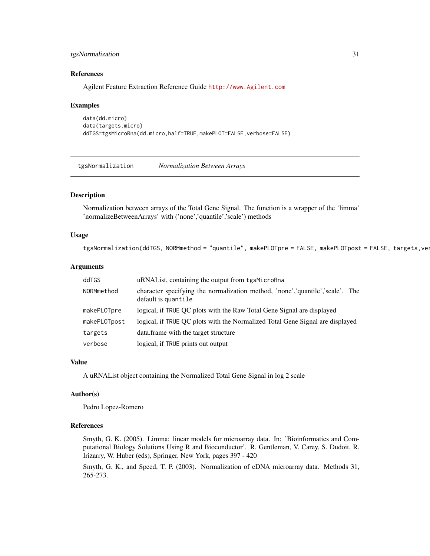# <span id="page-30-0"></span>tgsNormalization 31

#### References

Agilent Feature Extraction Reference Guide <http://www.Agilent.com>

#### Examples

```
data(dd.micro)
data(targets.micro)
ddTGS=tgsMicroRna(dd.micro,half=TRUE,makePLOT=FALSE,verbose=FALSE)
```
tgsNormalization *Normalization Between Arrays*

# Description

Normalization between arrays of the Total Gene Signal. The function is a wrapper of the 'limma' 'normalizeBetweenArrays' with ('none','quantile','scale') methods

#### Usage

```
tgsNormalization(ddTGS, NORMmethod = "quantile", makePLOTpre = FALSE, makePLOTpost = FALSE, targets,ver
```
# Arguments

| ddTGS        | uRNAL ist, containing the output from tgsMicroRna                                                    |
|--------------|------------------------------------------------------------------------------------------------------|
| NORMmethod   | character specifying the normalization method, 'none','quantile','scale'. The<br>default is quantile |
| makePLOTpre  | logical, if TRUE OC plots with the Raw Total Gene Signal are displayed                               |
| makePLOTpost | logical, if TRUE OC plots with the Normalized Total Gene Signal are displayed                        |
| targets      | data. frame with the target structure                                                                |
| verbose      | logical, if TRUE prints out output                                                                   |

# Value

A uRNAList object containing the Normalized Total Gene Signal in log 2 scale

#### Author(s)

Pedro Lopez-Romero

#### References

Smyth, G. K. (2005). Limma: linear models for microarray data. In: 'Bioinformatics and Computational Biology Solutions Using R and Bioconductor'. R. Gentleman, V. Carey, S. Dudoit, R. Irizarry, W. Huber (eds), Springer, New York, pages 397 - 420

Smyth, G. K., and Speed, T. P. (2003). Normalization of cDNA microarray data. Methods 31, 265-273.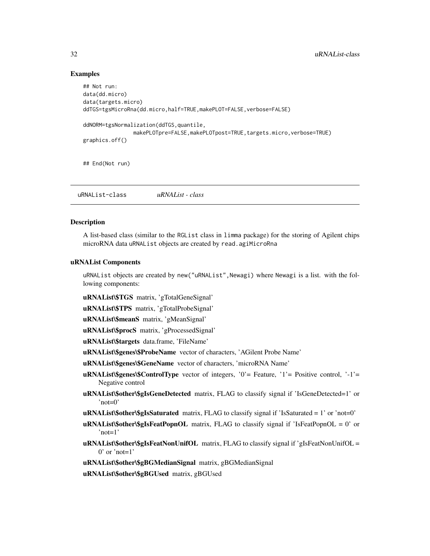### Examples

```
## Not run:
data(dd.micro)
data(targets.micro)
ddTGS=tgsMicroRna(dd.micro,half=TRUE,makePLOT=FALSE,verbose=FALSE)
ddNORM=tgsNormalization(ddTGS,quantile,
                makePLOTpre=FALSE,makePLOTpost=TRUE,targets.micro,verbose=TRUE)
graphics.off()
## End(Not run)
```
uRNAList-class *uRNAList - class*

#### **Description**

A list-based class (similar to the RGList class in limma package) for the storing of Agilent chips microRNA data uRNAList objects are created by read.agiMicroRna

# uRNAList Components

uRNAList objects are created by new("uRNAList",Newagi) where Newagi is a list. with the following components:

uRNAList\\$TGS matrix, 'gTotalGeneSignal'

uRNAList\\$TPS matrix, 'gTotalProbeSignal'

uRNAList\\$meanS matrix, 'gMeanSignal'

uRNAList\\$procS matrix, 'gProcessedSignal'

uRNAList\\$targets data.frame, 'FileName'

uRNAList\\$genes\\$ProbeName vector of characters, 'AGilent Probe Name'

uRNAList\\$genes\\$GeneName vector of characters, 'microRNA Name'

uRNAList\\$genes\\$ControlType vector of integers, '0'= Feature, '1'= Positive control, '-1'= Negative control

- uRNAList\\$other\\$gIsGeneDetected matrix, FLAG to classify signal if 'IsGeneDetected=1' or 'not=0'
- uRNAList\\$other\\$gIsSaturated matrix, FLAG to classify signal if 'IsSaturated = 1' or 'not=0'
- $\mathbf{uRNAList}\$  other \\$gIsFeatPopnOL matrix, FLAG to classify signal if 'IsFeatPopnOL = 0' or 'not=1'

uRNAList\\$other\\$gIsFeatNonUnifOL matrix, FLAG to classify signal if 'gIsFeatNonUnifOL =  $0'$  or 'not=1'

uRNAList\\$other\\$gBGMedianSignal matrix, gBGMedianSignal

uRNAList\\$other\\$gBGUsed matrix, gBGUsed

<span id="page-31-0"></span>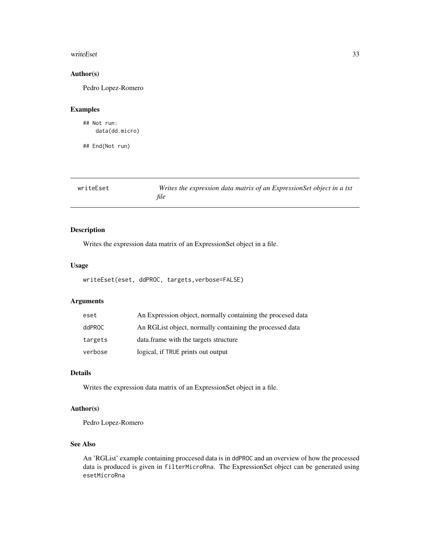#### <span id="page-32-0"></span>writeEset 33

# Author(s)

Pedro Lopez-Romero

### Examples

```
## Not run:
    data(dd.micro)
```
## End(Not run)

| writeEset | Writes the expression data matrix of an ExpressionSet object in a txt |
|-----------|-----------------------------------------------------------------------|
|           | file                                                                  |

# Description

Writes the expression data matrix of an ExpressionSet object in a file.

#### Usage

writeEset(eset, ddPROC, targets,verbose=FALSE)

# Arguments

| eset    | An Expression object, normally containing the procesed data |
|---------|-------------------------------------------------------------|
| ddPROC  | An RGL ist object, normally containing the processed data   |
| targets | data, frame with the targets structure                      |
| verbose | logical, if TRUE prints out output                          |

# Details

Writes the expression data matrix of an ExpressionSet object in a file.

# Author(s)

Pedro Lopez-Romero

# See Also

An 'RGList' example containing proccesed data is in ddPROC and an overview of how the processed data is produced is given in filterMicroRna. The ExpressionSet object can be generated using esetMicroRna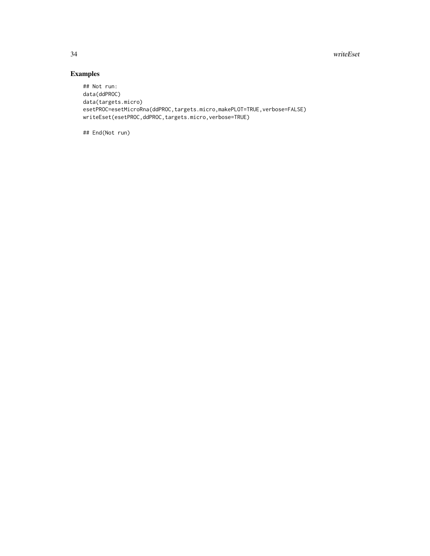34 writeEset

# Examples

```
## Not run:
data(ddPROC)
data(targets.micro)
esetPROC=esetMicroRna(ddPROC,targets.micro,makePLOT=TRUE,verbose=FALSE)
writeEset(esetPROC,ddPROC,targets.micro,verbose=TRUE)
```
## End(Not run)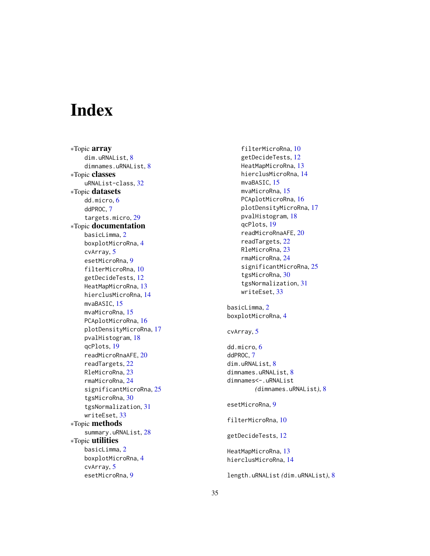# <span id="page-34-0"></span>Index

∗Topic array dim.uRNAList, [8](#page-7-0) dimnames.uRNAList , [8](#page-7-0) ∗Topic classes uRNAList-class , [32](#page-31-0) ∗Topic datasets dd.micro , [6](#page-5-0) ddPROC, [7](#page-6-0) targets.micro , [29](#page-28-0) ∗Topic documentation basicLimma, [2](#page-1-0) boxplotMicroRna , [4](#page-3-0) cvArray , [5](#page-4-0) esetMicroRna , [9](#page-8-0) filterMicroRna , [10](#page-9-0) getDecideTests , [12](#page-11-0) HeatMapMicroRna , [13](#page-12-0) hierclusMicroRna , [14](#page-13-0) mvaBASIC, [15](#page-14-0) mvaMicroRna , [15](#page-14-0) PCAplotMicroRna, [16](#page-15-0) plotDensityMicroRna , [17](#page-16-0) pvalHistogram , [18](#page-17-0) qcPlots , [19](#page-18-0) readMicroRnaAFE , [20](#page-19-0) readTargets , [22](#page-21-0) RleMicroRna , [23](#page-22-0) rmaMicroRna , [24](#page-23-0) significantMicroRna , [25](#page-24-0) tgsMicroRna , [30](#page-29-0) tgsNormalization , [31](#page-30-0) writeEset , [33](#page-32-0) ∗Topic methods summary.uRNAList , [28](#page-27-0) ∗Topic utilities basicLimma , [2](#page-1-0) boxplotMicroRna , [4](#page-3-0) cvArray, [5](#page-4-0) esetMicroRna , [9](#page-8-0)

filterMicroRna , [10](#page-9-0) getDecideTests , [12](#page-11-0) HeatMapMicroRna , [13](#page-12-0) hierclusMicroRna , [14](#page-13-0) mvaBASIC, [15](#page-14-0) mvaMicroRna, <mark>[15](#page-14-0)</mark> PCAplotMicroRna, [16](#page-15-0) plotDensityMicroRna , [17](#page-16-0) pvalHistogram , [18](#page-17-0) qcPlots , [19](#page-18-0) readMicroRnaAFE , [20](#page-19-0) readTargets , [22](#page-21-0) RleMicroRna , [23](#page-22-0) rmaMicroRna , [24](#page-23-0) significantMicroRna , [25](#page-24-0) tgsMicroRna , [30](#page-29-0) tgsNormalization , [31](#page-30-0) writeEset , [33](#page-32-0)  $\operatorname{\textsf{basicLimma},2}$  $\operatorname{\textsf{basicLimma},2}$  $\operatorname{\textsf{basicLimma},2}$ boxplotMicroRna , [4](#page-3-0) cvArray , [5](#page-4-0) dd.micro , [6](#page-5-0) ddPROC, [7](#page-6-0) dim.uRNAList, <mark>[8](#page-7-0)</mark> dimnames.uRNAList , [8](#page-7-0) dimnames<-.uRNAList *(*dimnames.uRNAList *)* , [8](#page-7-0) esetMicroRna, <mark>[9](#page-8-0)</mark> filterMicroRna , [10](#page-9-0) getDecideTests , [12](#page-11-0) HeatMapMicroRna , [13](#page-12-0) hierclusMicroRna , [14](#page-13-0) length.uRNAList *(*dim.uRNAList *)* , [8](#page-7-0)